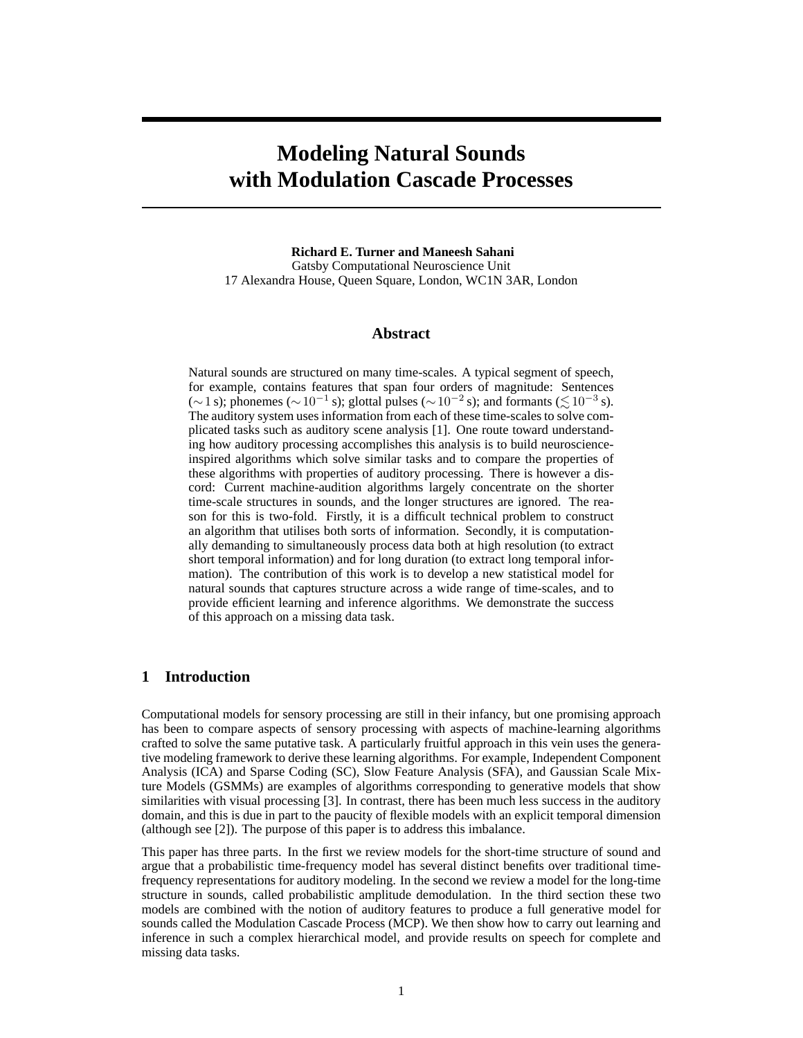# **Modeling Natural Sounds with Modulation Cascade Processes**

**Richard E. Turner and Maneesh Sahani** Gatsby Computational Neuroscience Unit 17 Alexandra House, Queen Square, London, WC1N 3AR, London

#### **Abstract**

Natural sounds are structured on many time-scales. A typical segment of speech, for example, contains features that span four orders of magnitude: Sentences (∼1 s); phonemes (∼10<sup>-1</sup> s); glottal pulses (∼10<sup>-2</sup> s); and formants ( $\lesssim$ 10<sup>-3</sup> s). The auditory system uses information from each of these time-scales to solve complicated tasks such as auditory scene analysis [1]. One route toward understanding how auditory processing accomplishes this analysis is to build neuroscienceinspired algorithms which solve similar tasks and to compare the properties of these algorithms with properties of auditory processing. There is however a discord: Current machine-audition algorithms largely concentrate on the shorter time-scale structures in sounds, and the longer structures are ignored. The reason for this is two-fold. Firstly, it is a difficult technical problem to construct an algorithm that utilises both sorts of information. Secondly, it is computationally demanding to simultaneously process data both at high resolution (to extract short temporal information) and for long duration (to extract long temporal information). The contribution of this work is to develop a new statistical model for natural sounds that captures structure across a wide range of time-scales, and to provide efficient learning and inference algorithms. We demonstrate the success of this approach on a missing data task.

### **1 Introduction**

Computational models for sensory processing are still in their infancy, but one promising approach has been to compare aspects of sensory processing with aspects of machine-learning algorithms crafted to solve the same putative task. A particularly fruitful approach in this vein uses the generative modeling framework to derive these learning algorithms. For example, Independent Component Analysis (ICA) and Sparse Coding (SC), Slow Feature Analysis (SFA), and Gaussian Scale Mixture Models (GSMMs) are examples of algorithms corresponding to generative models that show similarities with visual processing [3]. In contrast, there has been much less success in the auditory domain, and this is due in part to the paucity of flexible models with an explicit temporal dimension (although see [2]). The purpose of this paper is to address this imbalance.

This paper has three parts. In the first we review models for the short-time structure of sound and argue that a probabilistic time-frequency model has several distinct benefits over traditional timefrequency representations for auditory modeling. In the second we review a model for the long-time structure in sounds, called probabilistic amplitude demodulation. In the third section these two models are combined with the notion of auditory features to produce a full generative model for sounds called the Modulation Cascade Process (MCP). We then show how to carry out learning and inference in such a complex hierarchical model, and provide results on speech for complete and missing data tasks.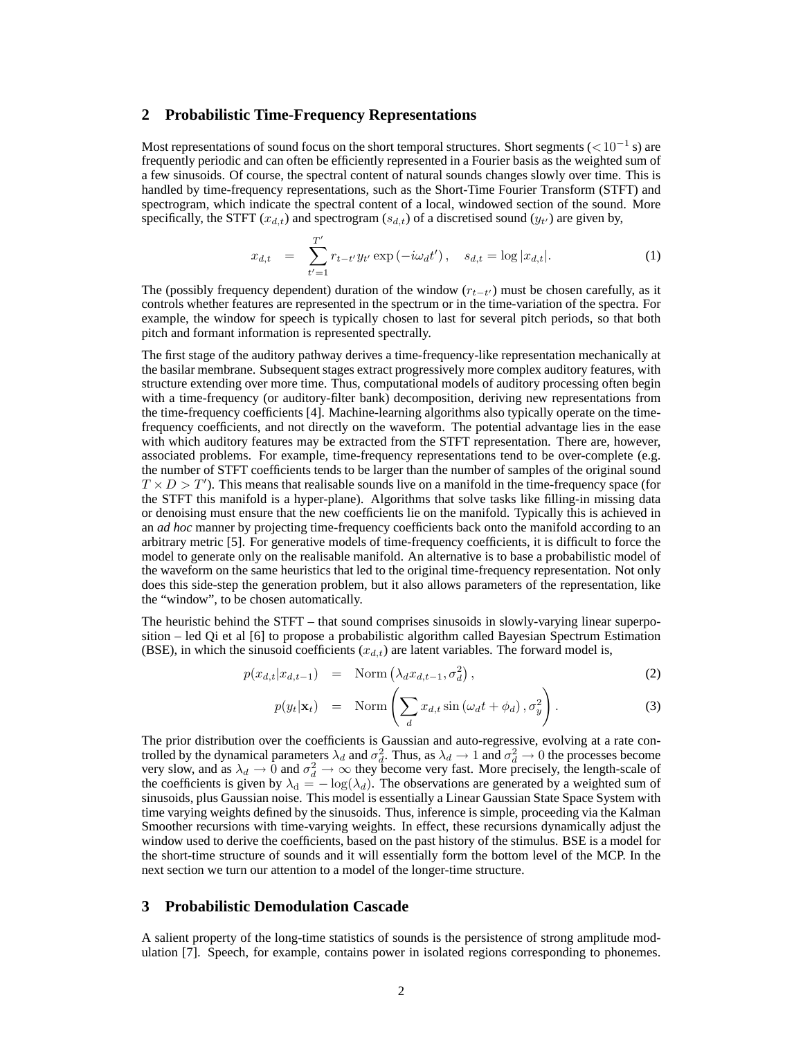#### **2 Probabilistic Time-Frequency Representations**

Most representations of sound focus on the short temporal structures. Short segments ( ${<}10^{-1}$  s) are frequently periodic and can often be efficiently represented in a Fourier basis as the weighted sum of a few sinusoids. Of course, the spectral content of natural sounds changes slowly over time. This is handled by time-frequency representations, such as the Short-Time Fourier Transform (STFT) and spectrogram, which indicate the spectral content of a local, windowed section of the sound. More specifically, the STFT  $(x_{d,t})$  and spectrogram  $(s_{d,t})$  of a discretised sound  $(y_{t'})$  are given by,

$$
x_{d,t} = \sum_{t'=1}^{T'} r_{t-t'} y_{t'} \exp(-i\omega_d t'), \quad s_{d,t} = \log |x_{d,t}|.
$$
 (1)

The (possibly frequency dependent) duration of the window  $(r_{t-t'})$  must be chosen carefully, as it controls whether features are represented in the spectrum or in the time-variation of the spectra. For example, the window for speech is typically chosen to last for several pitch periods, so that both pitch and formant information is represented spectrally.

The first stage of the auditory pathway derives a time-frequency-like representation mechanically at the basilar membrane. Subsequent stages extract progressively more complex auditory features, with structure extending over more time. Thus, computational models of auditory processing often begin with a time-frequency (or auditory-filter bank) decomposition, deriving new representations from the time-frequency coefficients [4]. Machine-learning algorithms also typically operate on the timefrequency coefficients, and not directly on the waveform. The potential advantage lies in the ease with which auditory features may be extracted from the STFT representation. There are, however, associated problems. For example, time-frequency representations tend to be over-complete (e.g. the number of STFT coefficients tends to be larger than the number of samples of the original sound  $T \times D > T'$ ). This means that realisable sounds live on a manifold in the time-frequency space (for the STFT this manifold is a hyper-plane). Algorithms that solve tasks like filling-in missing data or denoising must ensure that the new coefficients lie on the manifold. Typically this is achieved in an *ad hoc* manner by projecting time-frequency coefficients back onto the manifold according to an arbitrary metric [5]. For generative models of time-frequency coefficients, it is difficult to force the model to generate only on the realisable manifold. An alternative is to base a probabilistic model of the waveform on the same heuristics that led to the original time-frequency representation. Not only does this side-step the generation problem, but it also allows parameters of the representation, like the "window", to be chosen automatically.

The heuristic behind the STFT – that sound comprises sinusoids in slowly-varying linear superposition – led Qi et al [6] to propose a probabilistic algorithm called Bayesian Spectrum Estimation (BSE), in which the sinusoid coefficients  $(x_{d,t})$  are latent variables. The forward model is,

$$
p(x_{d,t}|x_{d,t-1}) = \text{Norm}(\lambda_d x_{d,t-1}, \sigma_d^2), \qquad (2)
$$

$$
p(y_t|\mathbf{x}_t) = \text{Norm}\left(\sum_d x_{d,t} \sin\left(\omega_d t + \phi_d\right), \sigma_y^2\right). \tag{3}
$$

The prior distribution over the coefficients is Gaussian and auto-regressive, evolving at a rate controlled by the dynamical parameters  $\lambda_d$  and  $\sigma_d^2$ . Thus, as  $\lambda_d \to 1$  and  $\sigma_d^2 \to 0$  the processes become very slow, and as  $\lambda_d \to 0$  and  $\sigma_d^2 \to \infty$  they become very fast. More precisely, the length-scale of the coefficients is given by  $\lambda_d = -\log(\lambda_d)$ . The observations are generated by a weighted sum of sinusoids, plus Gaussian noise. This model is essentially a Linear Gaussian State Space System with time varying weights defined by the sinusoids. Thus, inference is simple, proceeding via the Kalman Smoother recursions with time-varying weights. In effect, these recursions dynamically adjust the window used to derive the coefficients, based on the past history of the stimulus. BSE is a model for the short-time structure of sounds and it will essentially form the bottom level of the MCP. In the next section we turn our attention to a model of the longer-time structure.

#### **3 Probabilistic Demodulation Cascade**

A salient property of the long-time statistics of sounds is the persistence of strong amplitude modulation [7]. Speech, for example, contains power in isolated regions corresponding to phonemes.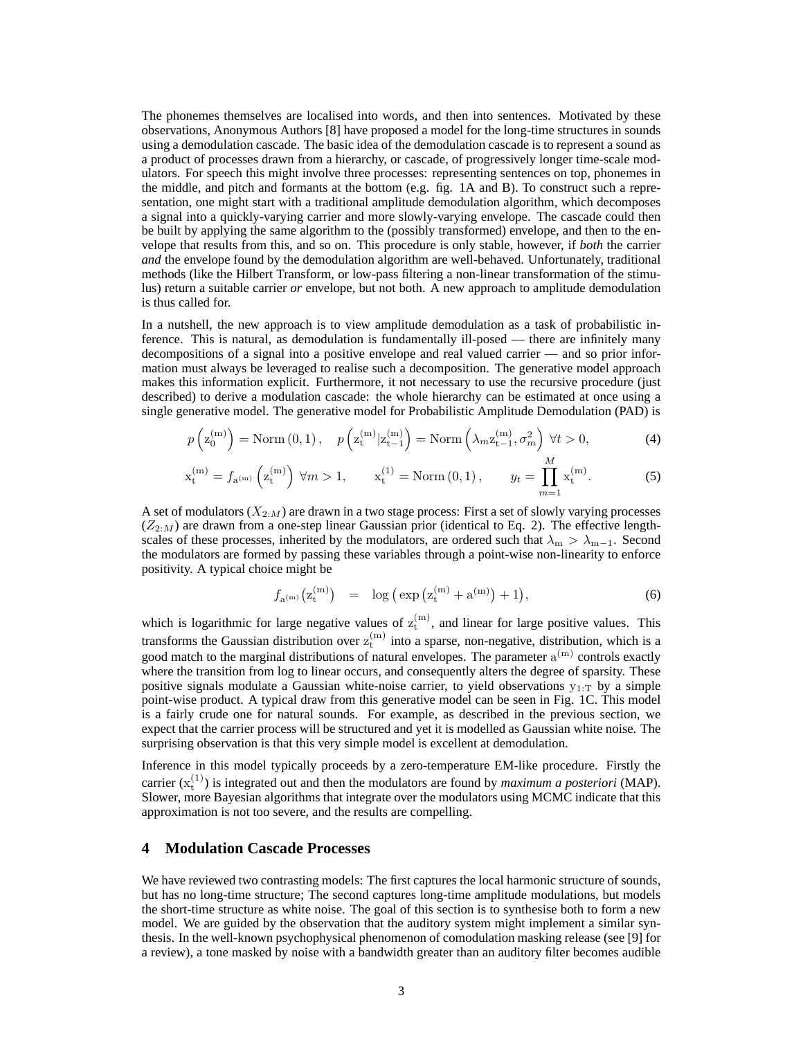The phonemes themselves are localised into words, and then into sentences. Motivated by these observations, Anonymous Authors [8] have proposed a model for the long-time structures in sounds using a demodulation cascade. The basic idea of the demodulation cascade is to represent a sound as a product of processes drawn from a hierarchy, or cascade, of progressively longer time-scale modulators. For speech this might involve three processes: representing sentences on top, phonemes in the middle, and pitch and formants at the bottom (e.g. fig. 1A and B). To construct such a representation, one might start with a traditional amplitude demodulation algorithm, which decomposes a signal into a quickly-varying carrier and more slowly-varying envelope. The cascade could then be built by applying the same algorithm to the (possibly transformed) envelope, and then to the envelope that results from this, and so on. This procedure is only stable, however, if *both* the carrier *and* the envelope found by the demodulation algorithm are well-behaved. Unfortunately, traditional methods (like the Hilbert Transform, or low-pass filtering a non-linear transformation of the stimulus) return a suitable carrier *or* envelope, but not both. A new approach to amplitude demodulation is thus called for.

In a nutshell, the new approach is to view amplitude demodulation as a task of probabilistic inference. This is natural, as demodulation is fundamentally ill-posed — there are infinitely many decompositions of a signal into a positive envelope and real valued carrier — and so prior information must always be leveraged to realise such a decomposition. The generative model approach makes this information explicit. Furthermore, it not necessary to use the recursive procedure (just described) to derive a modulation cascade: the whole hierarchy can be estimated at once using a single generative model. The generative model for Probabilistic Amplitude Demodulation (PAD) is

$$
p\left(\mathbf{z}_{0}^{(m)}\right) = \text{Norm}\left(0, 1\right), \quad p\left(\mathbf{z}_{t}^{(m)}|\mathbf{z}_{t-1}^{(m)}\right) = \text{Norm}\left(\lambda_{m}\mathbf{z}_{t-1}^{(m)}, \sigma_{m}^{2}\right) \,\forall t > 0,\tag{4}
$$

$$
\mathbf{x}_{t}^{(m)} = f_{\mathbf{a}^{(m)}}\left(\mathbf{z}_{t}^{(m)}\right) \forall m > 1, \qquad \mathbf{x}_{t}^{(1)} = \text{Norm}\left(0, 1\right), \qquad y_{t} = \prod_{m=1}^{M} \mathbf{x}_{t}^{(m)}.
$$
 (5)

A set of modulators  $(X_{2:M})$  are drawn in a two stage process: First a set of slowly varying processes  $(Z_{2:M})$  are drawn from a one-step linear Gaussian prior (identical to Eq. 2). The effective lengthscales of these processes, inherited by the modulators, are ordered such that  $\lambda_m > \lambda_{m-1}$ . Second the modulators are formed by passing these variables through a point-wise non-linearity to enforce positivity. A typical choice might be

$$
f_{a^{(m)}}(z_t^{(m)}) = \log (\exp(z_t^{(m)} + a^{(m)}) + 1), \tag{6}
$$

which is logarithmic for large negative values of  $z_t^{(m)}$ , and linear for large positive values. This transforms the Gaussian distribution over  $z_t^{(m)}$  into a sparse, non-negative, distribution, which is a good match to the marginal distributions of natural envelopes. The parameter  $a^{(m)}$  controls exactly where the transition from log to linear occurs, and consequently alters the degree of sparsity. These positive signals modulate a Gaussian white-noise carrier, to yield observations  $y_{1:T}$  by a simple point-wise product. A typical draw from this generative model can be seen in Fig. 1C. This model is a fairly crude one for natural sounds. For example, as described in the previous section, we expect that the carrier process will be structured and yet it is modelled as Gaussian white noise. The surprising observation is that this very simple model is excellent at demodulation.

Inference in this model typically proceeds by a zero-temperature EM-like procedure. Firstly the carrier  $(x_t^{(1)})$  is integrated out and then the modulators are found by *maximum a posteriori* (MAP). Slower, more Bayesian algorithms that integrate over the modulators using MCMC indicate that this approximation is not too severe, and the results are compelling.

#### **4 Modulation Cascade Processes**

We have reviewed two contrasting models: The first captures the local harmonic structure of sounds, but has no long-time structure; The second captures long-time amplitude modulations, but models the short-time structure as white noise. The goal of this section is to synthesise both to form a new model. We are guided by the observation that the auditory system might implement a similar synthesis. In the well-known psychophysical phenomenon of comodulation masking release (see [9] for a review), a tone masked by noise with a bandwidth greater than an auditory filter becomes audible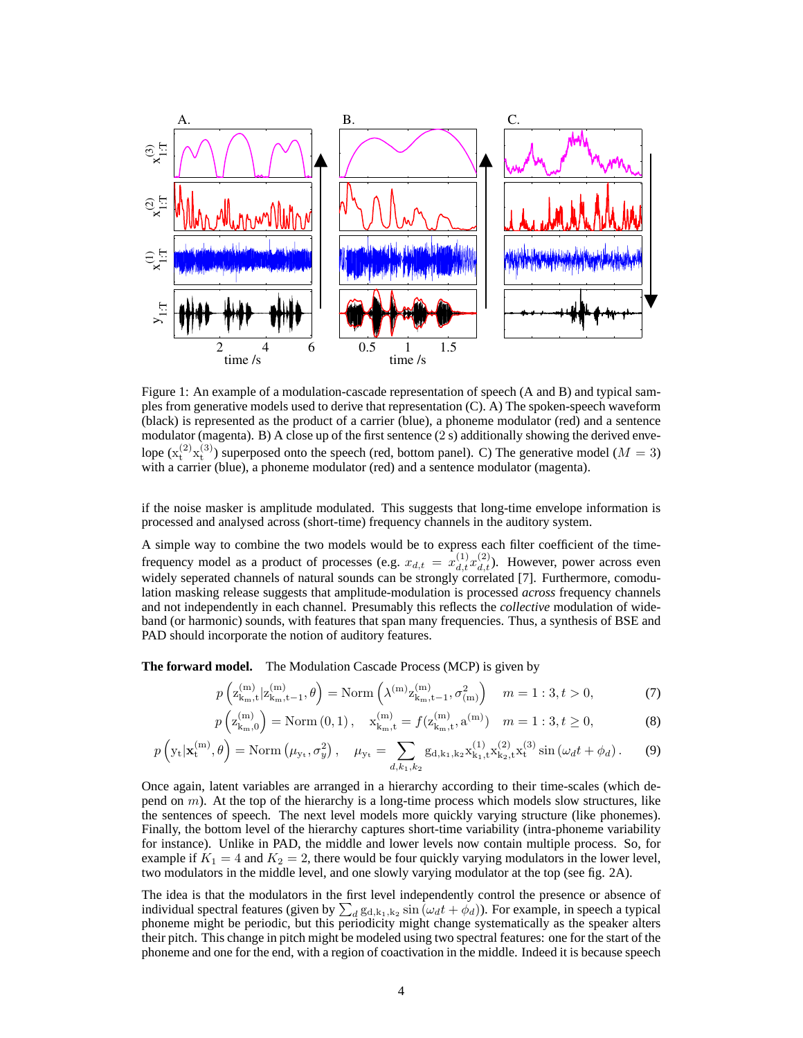

Figure 1: An example of a modulation-cascade representation of speech (A and B) and typical samples from generative models used to derive that representation (C). A) The spoken-speech waveform (black) is represented as the product of a carrier (blue), a phoneme modulator (red) and a sentence modulator (magenta). B) A close up of the first sentence (2 s) additionally showing the derived envelope  $(x_t^{(2)}x_t^{(3)})$  superposed onto the speech (red, bottom panel). C) The generative model ( $M = 3$ ) with a carrier (blue), a phoneme modulator (red) and a sentence modulator (magenta).

if the noise masker is amplitude modulated. This suggests that long-time envelope information is processed and analysed across (short-time) frequency channels in the auditory system.

A simple way to combine the two models would be to express each filter coefficient of the timefrequency model as a product of processes (e.g.  $x_{d,t} = x_{d,t}^{(1)} x_{d,t}^{(2)}$ ). However, power across even widely seperated channels of natural sounds can be strongly correlated [7]. Furthermore, comodulation masking release suggests that amplitude-modulation is processed *across* frequency channels and not independently in each channel. Presumably this reflects the *collective* modulation of wideband (or harmonic) sounds, with features that span many frequencies. Thus, a synthesis of BSE and PAD should incorporate the notion of auditory features.

**The forward model.** The Modulation Cascade Process (MCP) is given by

$$
p\left(\mathbf{z}_{\mathbf{k}_{m},\mathbf{t}}^{(m)}|\mathbf{z}_{\mathbf{k}_{m},\mathbf{t}-1}^{(m)},\theta\right) = \text{Norm}\left(\lambda^{(m)}\mathbf{z}_{\mathbf{k}_{m},\mathbf{t}-1}^{(m)},\sigma_{(m)}^{2}\right) \quad m = 1:3, t > 0,
$$
 (7)

$$
p\left(\mathbf{z}_{\mathbf{k}_{m},0}^{(m)}\right) = \text{Norm}\left(0,1\right), \quad \mathbf{x}_{\mathbf{k}_{m},t}^{(m)} = f(\mathbf{z}_{\mathbf{k}_{m},t}^{(m)}, \mathbf{a}^{(m)}) \quad m = 1:3, t \ge 0,
$$
 (8)

$$
p\left(\mathbf{y}_{t}|\mathbf{x}_{t}^{(m)},\theta\right) = \text{Norm}\left(\mu_{\mathbf{y}_{t}},\sigma_{y}^{2}\right), \quad \mu_{\mathbf{y}_{t}} = \sum_{d,k_{1},k_{2}} g_{d,k_{1},k_{2}} \mathbf{x}_{k_{1},t}^{(1)} \mathbf{x}_{k_{2},t}^{(2)} \mathbf{x}_{t}^{(3)} \sin\left(\omega_{d}t + \phi_{d}\right). \tag{9}
$$

Once again, latent variables are arranged in a hierarchy according to their time-scales (which depend on  $m$ ). At the top of the hierarchy is a long-time process which models slow structures, like the sentences of speech. The next level models more quickly varying structure (like phonemes). Finally, the bottom level of the hierarchy captures short-time variability (intra-phoneme variability for instance). Unlike in PAD, the middle and lower levels now contain multiple process. So, for example if  $K_1 = 4$  and  $K_2 = 2$ , there would be four quickly varying modulators in the lower level, two modulators in the middle level, and one slowly varying modulator at the top (see fig. 2A).

The idea is that the modulators in the first level independently control the presence or absence of individual spectral features (given by  $\sum_d g_{d,k_1,k_2} \sin(\omega_d t + \phi_d)$ ). For example, in speech a typical phoneme might be periodic, but this periodicity might change systematically as the speaker alters their pitch. This change in pitch might be modeled using two spectral features: one for the start of the phoneme and one for the end, with a region of coactivation in the middle. Indeed it is because speech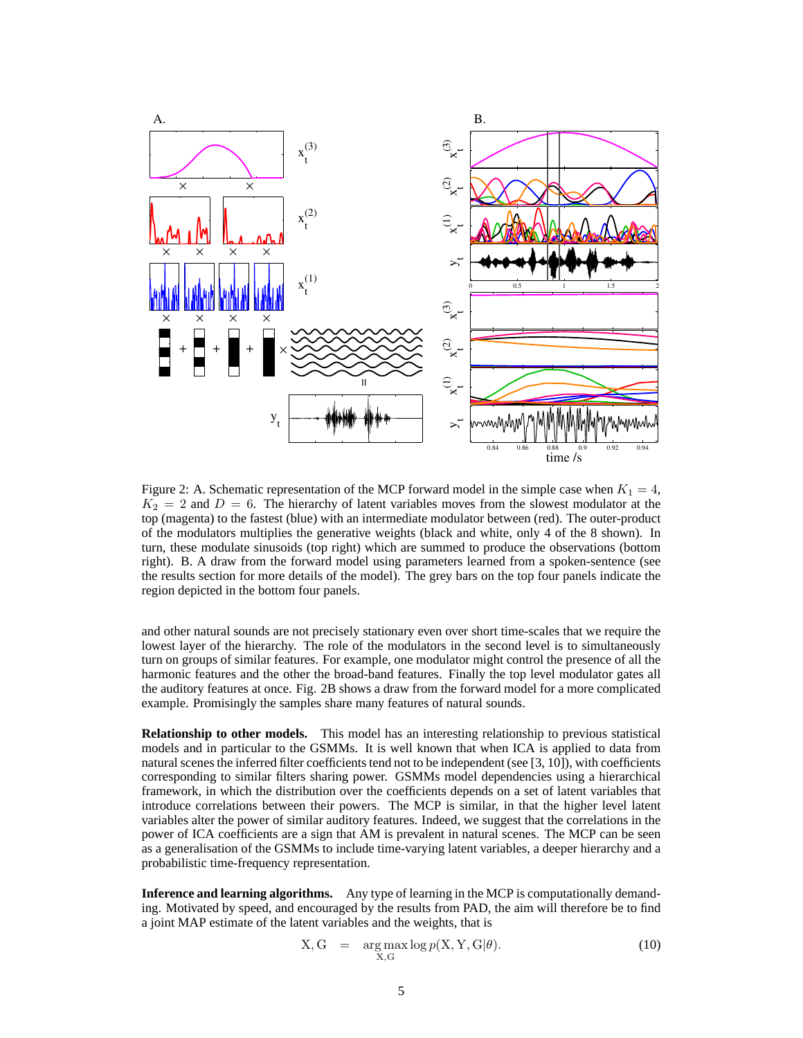

Figure 2: A. Schematic representation of the MCP forward model in the simple case when  $K_1 = 4$ ,  $K_2 = 2$  and  $D = 6$ . The hierarchy of latent variables moves from the slowest modulator at the top (magenta) to the fastest (blue) with an intermediate modulator between (red). The outer-product of the modulators multiplies the generative weights (black and white, only 4 of the 8 shown). In turn, these modulate sinusoids (top right) which are summed to produce the observations (bottom right). B. A draw from the forward model using parameters learned from a spoken-sentence (see the results section for more details of the model). The grey bars on the top four panels indicate the region depicted in the bottom four panels.

and other natural sounds are not precisely stationary even over short time-scales that we require the lowest layer of the hierarchy. The role of the modulators in the second level is to simultaneously turn on groups of similar features. For example, one modulator might control the presence of all the harmonic features and the other the broad-band features. Finally the top level modulator gates all the auditory features at once. Fig. 2B shows a draw from the forward model for a more complicated example. Promisingly the samples share many features of natural sounds.

**Relationship to other models.** This model has an interesting relationship to previous statistical models and in particular to the GSMMs. It is well known that when ICA is applied to data from natural scenes the inferred filter coefficients tend not to be independent (see [3, 10]), with coefficients corresponding to similar filters sharing power. GSMMs model dependencies using a hierarchical framework, in which the distribution over the coefficients depends on a set of latent variables that introduce correlations between their powers. The MCP is similar, in that the higher level latent variables alter the power of similar auditory features. Indeed, we suggest that the correlations in the power of ICA coefficients are a sign that AM is prevalent in natural scenes. The MCP can be seen as a generalisation of the GSMMs to include time-varying latent variables, a deeper hierarchy and a probabilistic time-frequency representation.

**Inference and learning algorithms.** Any type of learning in the MCP is computationally demanding. Motivated by speed, and encouraged by the results from PAD, the aim will therefore be to find a joint MAP estimate of the latent variables and the weights, that is

$$
X, G = \underset{X, G}{\arg \max} \log p(X, Y, G | \theta). \tag{10}
$$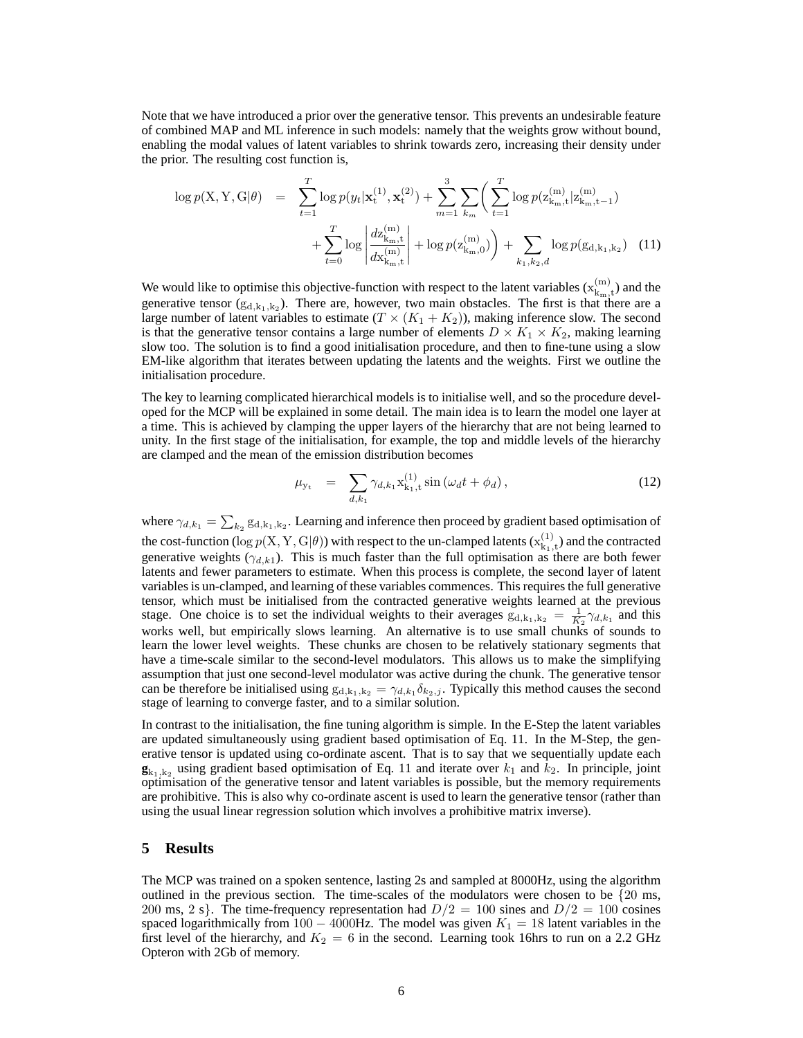Note that we have introduced a prior over the generative tensor. This prevents an undesirable feature of combined MAP and ML inference in such models: namely that the weights grow without bound, enabling the modal values of latent variables to shrink towards zero, increasing their density under the prior. The resulting cost function is,

$$
\log p(\mathbf{X}, \mathbf{Y}, \mathbf{G} | \theta) = \sum_{t=1}^{T} \log p(y_t | \mathbf{x}_t^{(1)}, \mathbf{x}_t^{(2)}) + \sum_{m=1}^{3} \sum_{k_m} \left( \sum_{t=1}^{T} \log p(z_{k_m, t}^{(m)} | z_{k_m, t-1}^{(m)}) + \sum_{t=0}^{T} \log \left| \frac{dz_{k_m, t}^{(m)}}{dz_{k_m, t}^{(m)}} \right| + \log p(z_{k_m, 0}^{(m)}) + \sum_{k_1, k_2, d} \log p(g_{d, k_1, k_2}) \quad (11)
$$

We would like to optimise this objective-function with respect to the latent variables  $(x_k^{(m)})$  $k_{\rm m,t}^{(\rm m)}$ ) and the generative tensor  $(g_{d,k_1,k_2})$ . There are, however, two main obstacles. The first is that there are a large number of latent variables to estimate  $(T \times (K_1 + K_2))$ , making inference slow. The second is that the generative tensor contains a large number of elements  $D \times K_1 \times K_2$ , making learning slow too. The solution is to find a good initialisation procedure, and then to fine-tune using a slow EM-like algorithm that iterates between updating the latents and the weights. First we outline the initialisation procedure.

The key to learning complicated hierarchical models is to initialise well, and so the procedure developed for the MCP will be explained in some detail. The main idea is to learn the model one layer at a time. This is achieved by clamping the upper layers of the hierarchy that are not being learned to unity. In the first stage of the initialisation, for example, the top and middle levels of the hierarchy are clamped and the mean of the emission distribution becomes

$$
\mu_{y_t} = \sum_{d,k_1} \gamma_{d,k_1} x_{k_1,t}^{(1)} \sin(\omega_d t + \phi_d), \qquad (12)
$$

where  $\gamma_{d,k_1} = \sum_{k_2} g_{d,k_1,k_2}$ . Learning and inference then proceed by gradient based optimisation of the cost-function (log  $p(X, Y, G | \theta)$ ) with respect to the un-clamped latents ( $x_{k_1}^{(1)}$ )  $\binom{1}{k_1,t}$  and the contracted generative weights ( $\gamma_{d,k1}$ ). This is much faster than the full optimisation as there are both fewer latents and fewer parameters to estimate. When this process is complete, the second layer of latent variables is un-clamped, and learning of these variables commences. This requires the full generative tensor, which must be initialised from the contracted generative weights learned at the previous stage. One choice is to set the individual weights to their averages  $g_{d,k_1,k_2} = \frac{1}{K_2} \gamma_{d,k_1}$  and this works well, but empirically slows learning. An alternative is to use small chunks of sounds to learn the lower level weights. These chunks are chosen to be relatively stationary segments that have a time-scale similar to the second-level modulators. This allows us to make the simplifying assumption that just one second-level modulator was active during the chunk. The generative tensor can be therefore be initialised using  $g_{d,k_1,k_2} = \gamma_{d,k_1} \delta_{k_2,j}$ . Typically this method causes the second stage of learning to converge faster, and to a similar solution.

In contrast to the initialisation, the fine tuning algorithm is simple. In the E-Step the latent variables are updated simultaneously using gradient based optimisation of Eq. 11. In the M-Step, the generative tensor is updated using co-ordinate ascent. That is to say that we sequentially update each  $\mathbf{g}_{k_1,k_2}$  using gradient based optimisation of Eq. 11 and iterate over  $k_1$  and  $k_2$ . In principle, joint optimisation of the generative tensor and latent variables is possible, but the memory requirements are prohibitive. This is also why co-ordinate ascent is used to learn the generative tensor (rather than using the usual linear regression solution which involves a prohibitive matrix inverse).

#### **5 Results**

The MCP was trained on a spoken sentence, lasting 2s and sampled at 8000Hz, using the algorithm outlined in the previous section. The time-scales of the modulators were chosen to be  $\{20 \text{ ms},\}$ 200 ms, 2 s}. The time-frequency representation had  $D/2 = 100$  sines and  $D/2 = 100$  cosines spaced logarithmically from 100 – 4000Hz. The model was given  $K_1 = 18$  latent variables in the first level of the hierarchy, and  $K_2 = 6$  in the second. Learning took 16hrs to run on a 2.2 GHz Opteron with 2Gb of memory.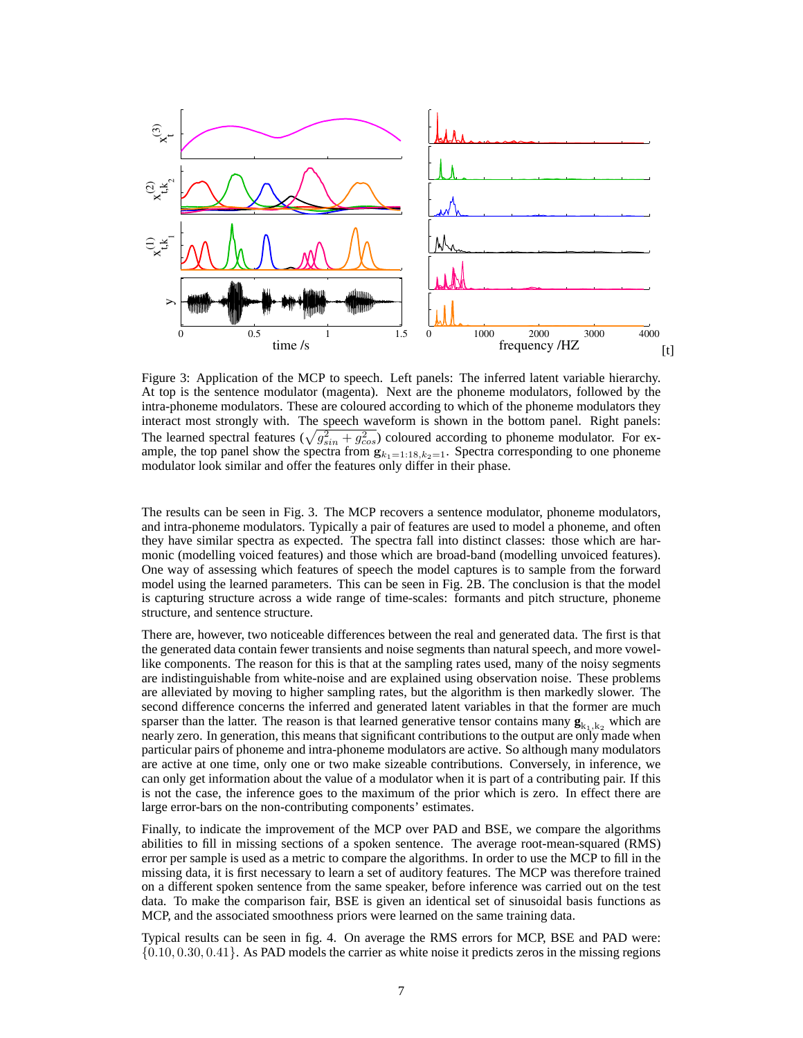

Figure 3: Application of the MCP to speech. Left panels: The inferred latent variable hierarchy. At top is the sentence modulator (magenta). Next are the phoneme modulators, followed by the intra-phoneme modulators. These are coloured according to which of the phoneme modulators they interact most strongly with. The speech waveform is shown in the bottom panel. Right panels: The learned spectral features  $(\sqrt{g_{sin}^2 + g_{cos}^2})$  coloured according to phoneme modulator. For example, the top panel show the spectra from  $g_{k_1=1:18,k_2=1}$ . Spectra corresponding to one phoneme modulator look similar and offer the features only differ in their phase.

The results can be seen in Fig. 3. The MCP recovers a sentence modulator, phoneme modulators, and intra-phoneme modulators. Typically a pair of features are used to model a phoneme, and often they have similar spectra as expected. The spectra fall into distinct classes: those which are harmonic (modelling voiced features) and those which are broad-band (modelling unvoiced features). One way of assessing which features of speech the model captures is to sample from the forward model using the learned parameters. This can be seen in Fig. 2B. The conclusion is that the model is capturing structure across a wide range of time-scales: formants and pitch structure, phoneme structure, and sentence structure.

There are, however, two noticeable differences between the real and generated data. The first is that the generated data contain fewer transients and noise segments than natural speech, and more vowellike components. The reason for this is that at the sampling rates used, many of the noisy segments are indistinguishable from white-noise and are explained using observation noise. These problems are alleviated by moving to higher sampling rates, but the algorithm is then markedly slower. The second difference concerns the inferred and generated latent variables in that the former are much sparser than the latter. The reason is that learned generative tensor contains many  $\mathbf{g}_{k_1,k_2}$  which are nearly zero. In generation, this means that significant contributions to the output are only made when particular pairs of phoneme and intra-phoneme modulators are active. So although many modulators are active at one time, only one or two make sizeable contributions. Conversely, in inference, we can only get information about the value of a modulator when it is part of a contributing pair. If this is not the case, the inference goes to the maximum of the prior which is zero. In effect there are large error-bars on the non-contributing components' estimates.

Finally, to indicate the improvement of the MCP over PAD and BSE, we compare the algorithms abilities to fill in missing sections of a spoken sentence. The average root-mean-squared (RMS) error per sample is used as a metric to compare the algorithms. In order to use the MCP to fill in the missing data, it is first necessary to learn a set of auditory features. The MCP was therefore trained on a different spoken sentence from the same speaker, before inference was carried out on the test data. To make the comparison fair, BSE is given an identical set of sinusoidal basis functions as MCP, and the associated smoothness priors were learned on the same training data.

Typical results can be seen in fig. 4. On average the RMS errors for MCP, BSE and PAD were: {0.10, 0.30, 0.41}. As PAD models the carrier as white noise it predicts zeros in the missing regions